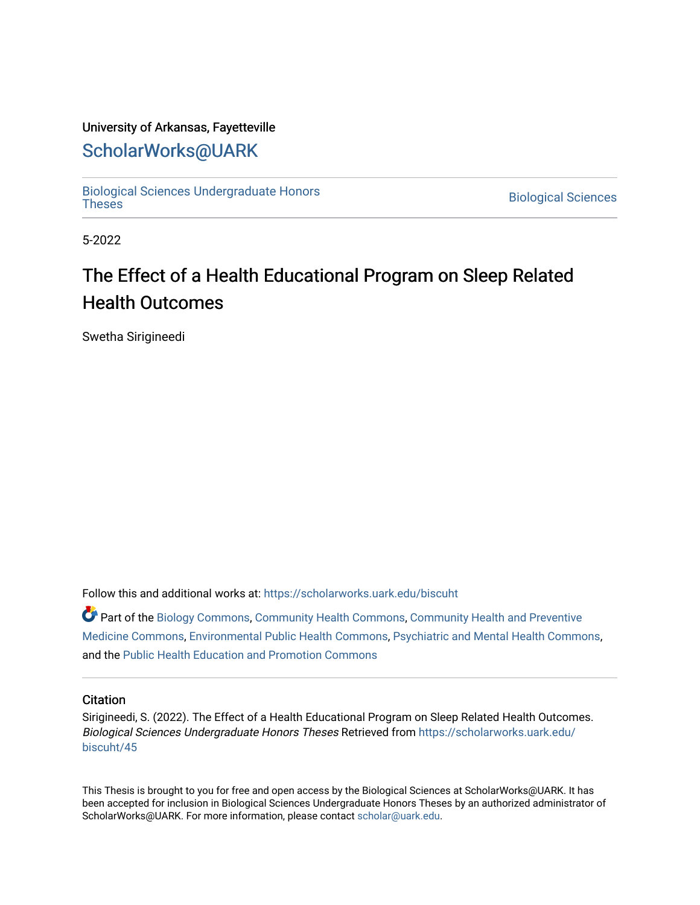#### University of Arkansas, Fayetteville

## [ScholarWorks@UARK](https://scholarworks.uark.edu/)

[Biological Sciences Undergraduate Honors](https://scholarworks.uark.edu/biscuht)

**Biological Sciences** 

5-2022

# The Effect of a Health Educational Program on Sleep Related Health Outcomes

Swetha Sirigineedi

Follow this and additional works at: [https://scholarworks.uark.edu/biscuht](https://scholarworks.uark.edu/biscuht?utm_source=scholarworks.uark.edu%2Fbiscuht%2F45&utm_medium=PDF&utm_campaign=PDFCoverPages) 

Part of the [Biology Commons,](http://network.bepress.com/hgg/discipline/41?utm_source=scholarworks.uark.edu%2Fbiscuht%2F45&utm_medium=PDF&utm_campaign=PDFCoverPages) [Community Health Commons](http://network.bepress.com/hgg/discipline/714?utm_source=scholarworks.uark.edu%2Fbiscuht%2F45&utm_medium=PDF&utm_campaign=PDFCoverPages), [Community Health and Preventive](http://network.bepress.com/hgg/discipline/744?utm_source=scholarworks.uark.edu%2Fbiscuht%2F45&utm_medium=PDF&utm_campaign=PDFCoverPages) [Medicine Commons](http://network.bepress.com/hgg/discipline/744?utm_source=scholarworks.uark.edu%2Fbiscuht%2F45&utm_medium=PDF&utm_campaign=PDFCoverPages), [Environmental Public Health Commons](http://network.bepress.com/hgg/discipline/739?utm_source=scholarworks.uark.edu%2Fbiscuht%2F45&utm_medium=PDF&utm_campaign=PDFCoverPages), [Psychiatric and Mental Health Commons](http://network.bepress.com/hgg/discipline/711?utm_source=scholarworks.uark.edu%2Fbiscuht%2F45&utm_medium=PDF&utm_campaign=PDFCoverPages), and the [Public Health Education and Promotion Commons](http://network.bepress.com/hgg/discipline/743?utm_source=scholarworks.uark.edu%2Fbiscuht%2F45&utm_medium=PDF&utm_campaign=PDFCoverPages)

#### **Citation**

Sirigineedi, S. (2022). The Effect of a Health Educational Program on Sleep Related Health Outcomes. Biological Sciences Undergraduate Honors Theses Retrieved from [https://scholarworks.uark.edu/](https://scholarworks.uark.edu/biscuht/45?utm_source=scholarworks.uark.edu%2Fbiscuht%2F45&utm_medium=PDF&utm_campaign=PDFCoverPages) [biscuht/45](https://scholarworks.uark.edu/biscuht/45?utm_source=scholarworks.uark.edu%2Fbiscuht%2F45&utm_medium=PDF&utm_campaign=PDFCoverPages)

This Thesis is brought to you for free and open access by the Biological Sciences at ScholarWorks@UARK. It has been accepted for inclusion in Biological Sciences Undergraduate Honors Theses by an authorized administrator of ScholarWorks@UARK. For more information, please contact [scholar@uark.edu](mailto:scholar@uark.edu).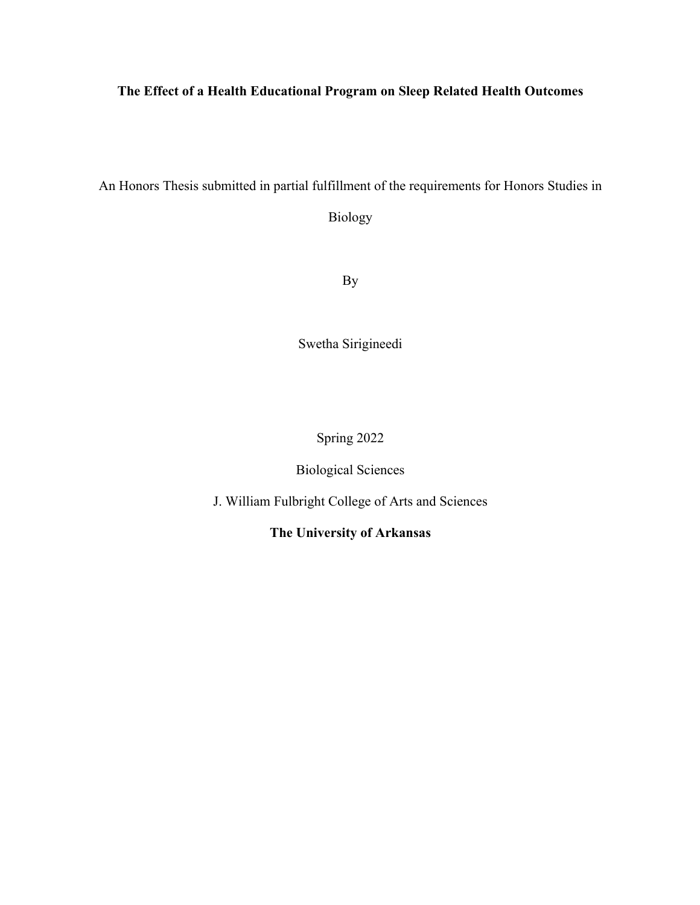### **The Effect of a Health Educational Program on Sleep Related Health Outcomes**

An Honors Thesis submitted in partial fulfillment of the requirements for Honors Studies in

Biology

By

Swetha Sirigineedi

Spring 2022

## Biological Sciences

J. William Fulbright College of Arts and Sciences

**The University of Arkansas**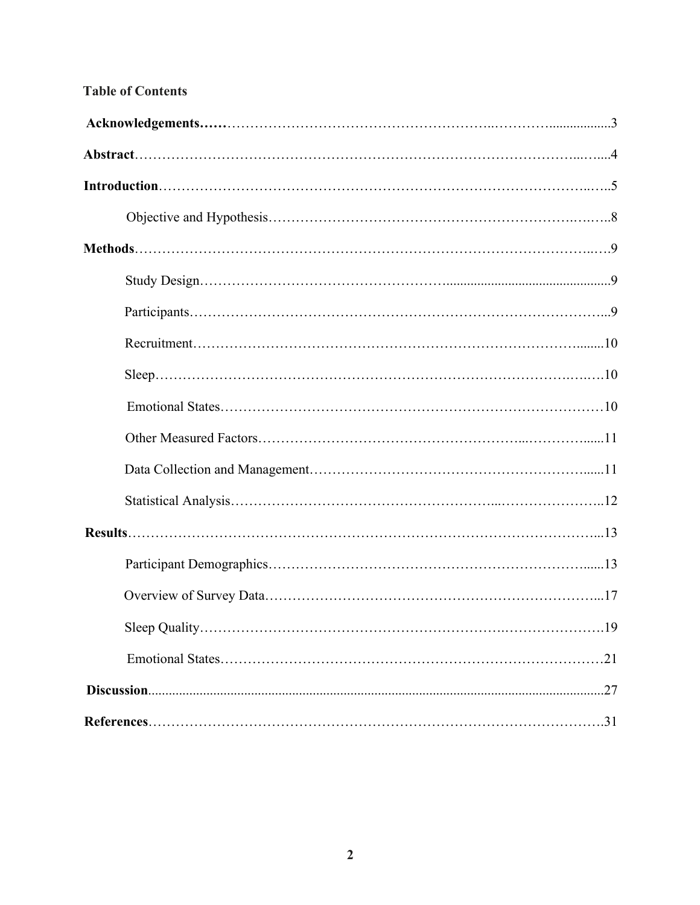|  | <b>Table of Contents</b> |
|--|--------------------------|
|  |                          |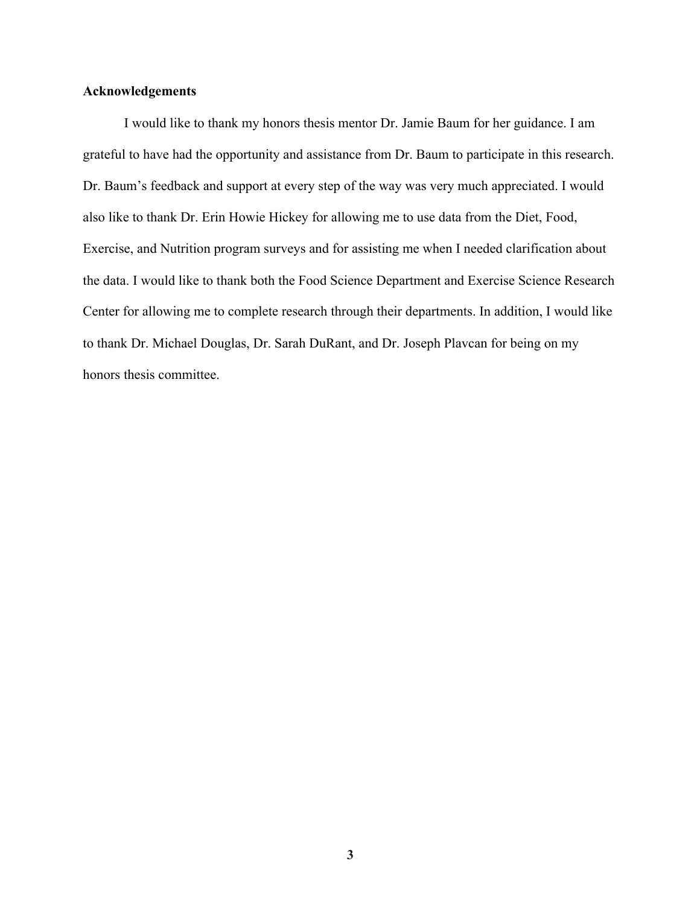#### **Acknowledgements**

I would like to thank my honors thesis mentor Dr. Jamie Baum for her guidance. I am grateful to have had the opportunity and assistance from Dr. Baum to participate in this research. Dr. Baum's feedback and support at every step of the way was very much appreciated. I would also like to thank Dr. Erin Howie Hickey for allowing me to use data from the Diet, Food, Exercise, and Nutrition program surveys and for assisting me when I needed clarification about the data. I would like to thank both the Food Science Department and Exercise Science Research Center for allowing me to complete research through their departments. In addition, I would like to thank Dr. Michael Douglas, Dr. Sarah DuRant, and Dr. Joseph Plavcan for being on my honors thesis committee.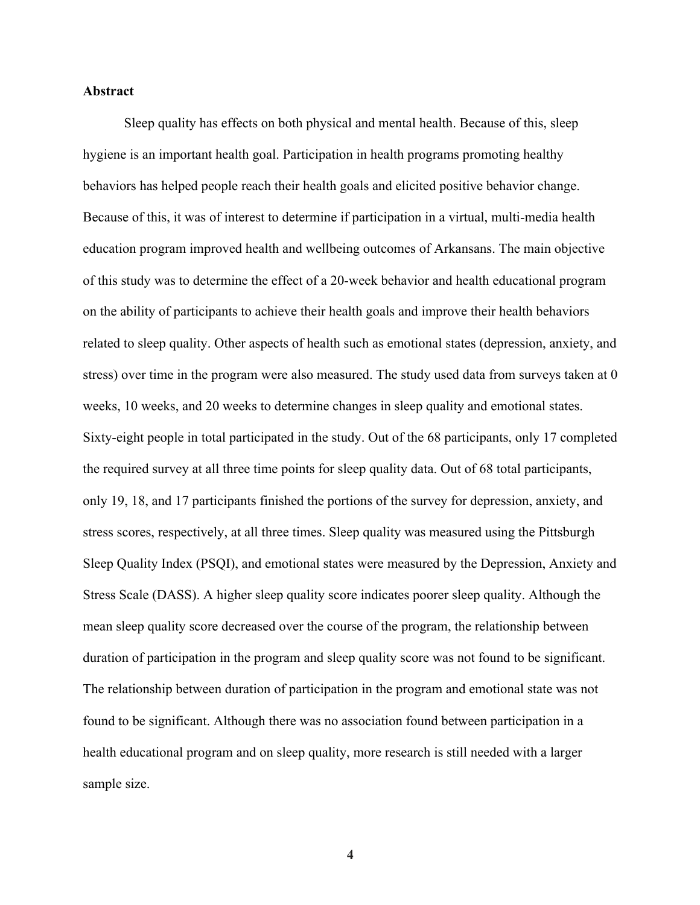#### **Abstract**

Sleep quality has effects on both physical and mental health. Because of this, sleep hygiene is an important health goal. Participation in health programs promoting healthy behaviors has helped people reach their health goals and elicited positive behavior change. Because of this, it was of interest to determine if participation in a virtual, multi-media health education program improved health and wellbeing outcomes of Arkansans. The main objective of this study was to determine the effect of a 20-week behavior and health educational program on the ability of participants to achieve their health goals and improve their health behaviors related to sleep quality. Other aspects of health such as emotional states (depression, anxiety, and stress) over time in the program were also measured. The study used data from surveys taken at 0 weeks, 10 weeks, and 20 weeks to determine changes in sleep quality and emotional states. Sixty-eight people in total participated in the study. Out of the 68 participants, only 17 completed the required survey at all three time points for sleep quality data. Out of 68 total participants, only 19, 18, and 17 participants finished the portions of the survey for depression, anxiety, and stress scores, respectively, at all three times. Sleep quality was measured using the Pittsburgh Sleep Quality Index (PSQI), and emotional states were measured by the Depression, Anxiety and Stress Scale (DASS). A higher sleep quality score indicates poorer sleep quality. Although the mean sleep quality score decreased over the course of the program, the relationship between duration of participation in the program and sleep quality score was not found to be significant. The relationship between duration of participation in the program and emotional state was not found to be significant. Although there was no association found between participation in a health educational program and on sleep quality, more research is still needed with a larger sample size.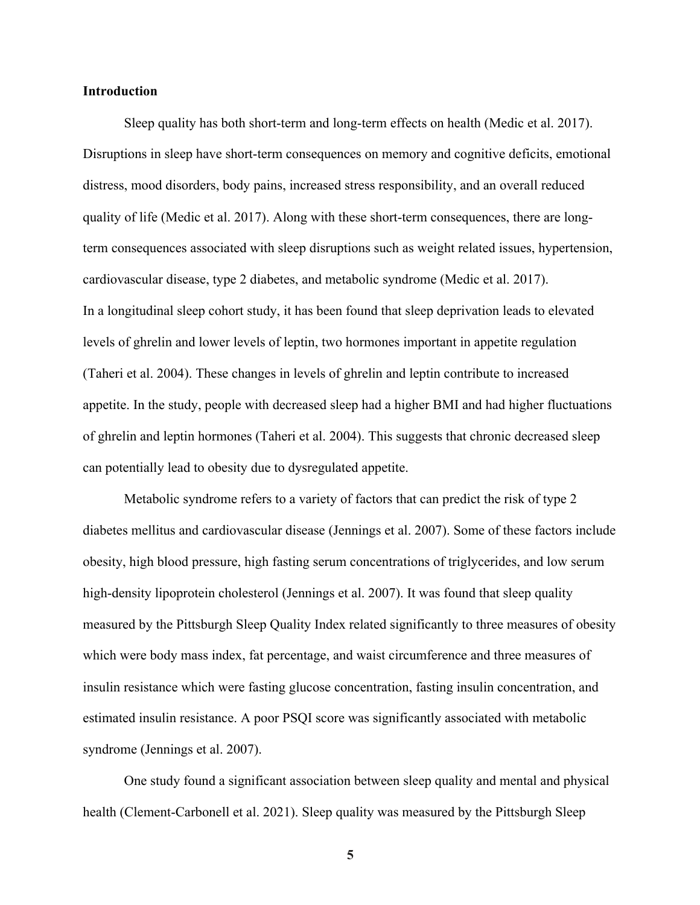#### **Introduction**

Sleep quality has both short-term and long-term effects on health (Medic et al. 2017). Disruptions in sleep have short-term consequences on memory and cognitive deficits, emotional distress, mood disorders, body pains, increased stress responsibility, and an overall reduced quality of life (Medic et al. 2017). Along with these short-term consequences, there are longterm consequences associated with sleep disruptions such as weight related issues, hypertension, cardiovascular disease, type 2 diabetes, and metabolic syndrome (Medic et al. 2017). In a longitudinal sleep cohort study, it has been found that sleep deprivation leads to elevated levels of ghrelin and lower levels of leptin, two hormones important in appetite regulation (Taheri et al. 2004). These changes in levels of ghrelin and leptin contribute to increased appetite. In the study, people with decreased sleep had a higher BMI and had higher fluctuations of ghrelin and leptin hormones (Taheri et al. 2004). This suggests that chronic decreased sleep can potentially lead to obesity due to dysregulated appetite.

 Metabolic syndrome refers to a variety of factors that can predict the risk of type 2 diabetes mellitus and cardiovascular disease (Jennings et al. 2007). Some of these factors include obesity, high blood pressure, high fasting serum concentrations of triglycerides, and low serum high-density lipoprotein cholesterol (Jennings et al. 2007). It was found that sleep quality measured by the Pittsburgh Sleep Quality Index related significantly to three measures of obesity which were body mass index, fat percentage, and waist circumference and three measures of insulin resistance which were fasting glucose concentration, fasting insulin concentration, and estimated insulin resistance. A poor PSQI score was significantly associated with metabolic syndrome (Jennings et al. 2007).

 One study found a significant association between sleep quality and mental and physical health (Clement-Carbonell et al. 2021). Sleep quality was measured by the Pittsburgh Sleep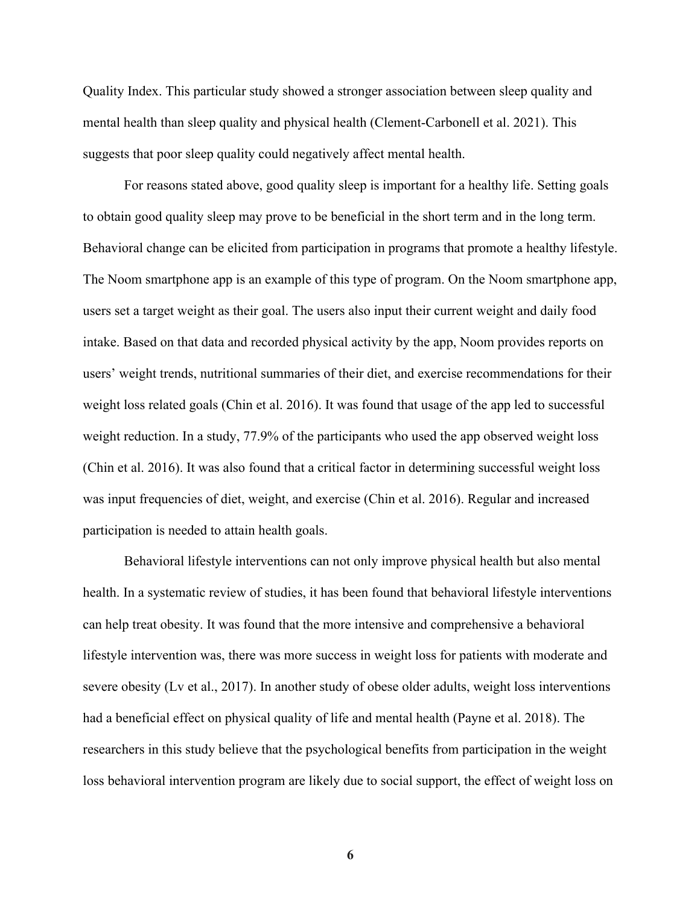Quality Index. This particular study showed a stronger association between sleep quality and mental health than sleep quality and physical health (Clement-Carbonell et al. 2021). This suggests that poor sleep quality could negatively affect mental health.

 For reasons stated above, good quality sleep is important for a healthy life. Setting goals to obtain good quality sleep may prove to be beneficial in the short term and in the long term. Behavioral change can be elicited from participation in programs that promote a healthy lifestyle. The Noom smartphone app is an example of this type of program. On the Noom smartphone app, users set a target weight as their goal. The users also input their current weight and daily food intake. Based on that data and recorded physical activity by the app, Noom provides reports on users' weight trends, nutritional summaries of their diet, and exercise recommendations for their weight loss related goals (Chin et al. 2016). It was found that usage of the app led to successful weight reduction. In a study, 77.9% of the participants who used the app observed weight loss (Chin et al. 2016). It was also found that a critical factor in determining successful weight loss was input frequencies of diet, weight, and exercise (Chin et al. 2016). Regular and increased participation is needed to attain health goals.

 Behavioral lifestyle interventions can not only improve physical health but also mental health. In a systematic review of studies, it has been found that behavioral lifestyle interventions can help treat obesity. It was found that the more intensive and comprehensive a behavioral lifestyle intervention was, there was more success in weight loss for patients with moderate and severe obesity (Lv et al., 2017). In another study of obese older adults, weight loss interventions had a beneficial effect on physical quality of life and mental health (Payne et al. 2018). The researchers in this study believe that the psychological benefits from participation in the weight loss behavioral intervention program are likely due to social support, the effect of weight loss on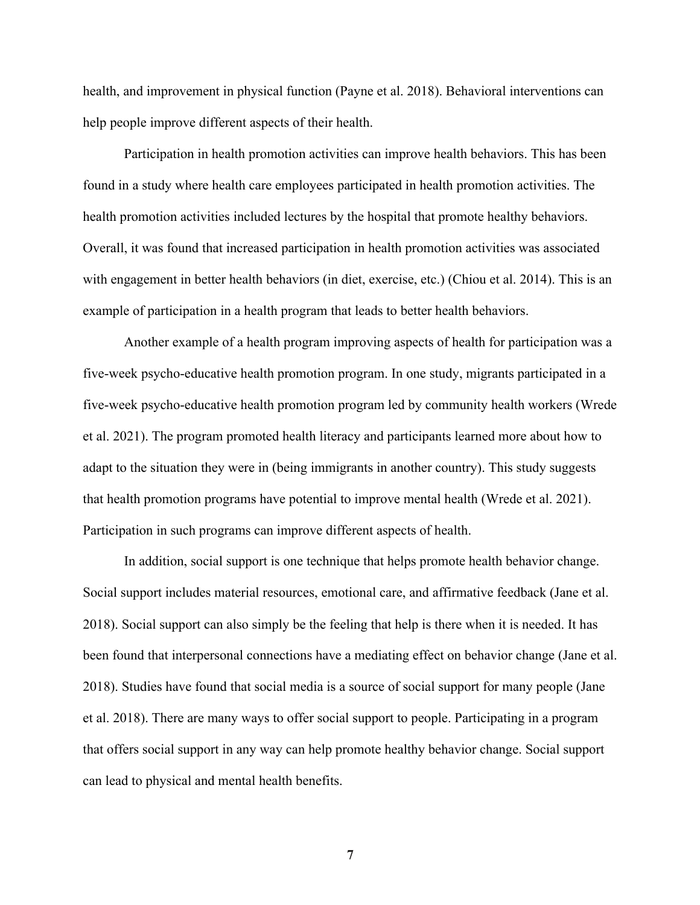health, and improvement in physical function (Payne et al. 2018). Behavioral interventions can help people improve different aspects of their health.

 Participation in health promotion activities can improve health behaviors. This has been found in a study where health care employees participated in health promotion activities. The health promotion activities included lectures by the hospital that promote healthy behaviors. Overall, it was found that increased participation in health promotion activities was associated with engagement in better health behaviors (in diet, exercise, etc.) (Chiou et al. 2014). This is an example of participation in a health program that leads to better health behaviors.

 Another example of a health program improving aspects of health for participation was a five-week psycho-educative health promotion program. In one study, migrants participated in a five-week psycho-educative health promotion program led by community health workers (Wrede et al. 2021). The program promoted health literacy and participants learned more about how to adapt to the situation they were in (being immigrants in another country). This study suggests that health promotion programs have potential to improve mental health (Wrede et al. 2021). Participation in such programs can improve different aspects of health.

 In addition, social support is one technique that helps promote health behavior change. Social support includes material resources, emotional care, and affirmative feedback (Jane et al. 2018). Social support can also simply be the feeling that help is there when it is needed. It has been found that interpersonal connections have a mediating effect on behavior change (Jane et al. 2018). Studies have found that social media is a source of social support for many people (Jane et al. 2018). There are many ways to offer social support to people. Participating in a program that offers social support in any way can help promote healthy behavior change. Social support can lead to physical and mental health benefits.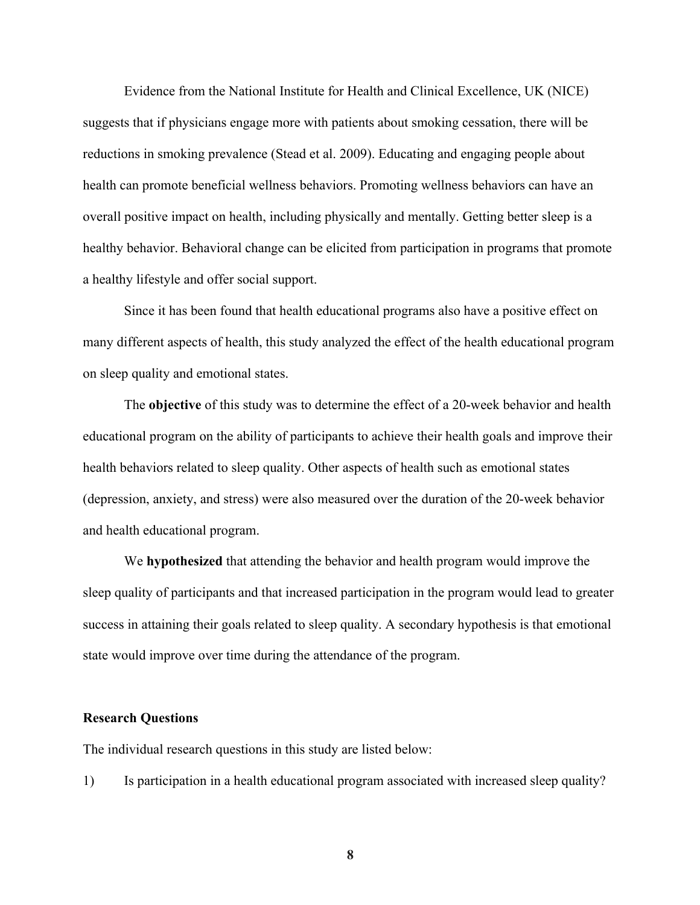Evidence from the National Institute for Health and Clinical Excellence, UK (NICE) suggests that if physicians engage more with patients about smoking cessation, there will be reductions in smoking prevalence (Stead et al. 2009). Educating and engaging people about health can promote beneficial wellness behaviors. Promoting wellness behaviors can have an overall positive impact on health, including physically and mentally. Getting better sleep is a healthy behavior. Behavioral change can be elicited from participation in programs that promote a healthy lifestyle and offer social support.

Since it has been found that health educational programs also have a positive effect on many different aspects of health, this study analyzed the effect of the health educational program on sleep quality and emotional states.

The **objective** of this study was to determine the effect of a 20-week behavior and health educational program on the ability of participants to achieve their health goals and improve their health behaviors related to sleep quality. Other aspects of health such as emotional states (depression, anxiety, and stress) were also measured over the duration of the 20-week behavior and health educational program.

We **hypothesized** that attending the behavior and health program would improve the sleep quality of participants and that increased participation in the program would lead to greater success in attaining their goals related to sleep quality. A secondary hypothesis is that emotional state would improve over time during the attendance of the program.

#### **Research Questions**

The individual research questions in this study are listed below:

1) Is participation in a health educational program associated with increased sleep quality?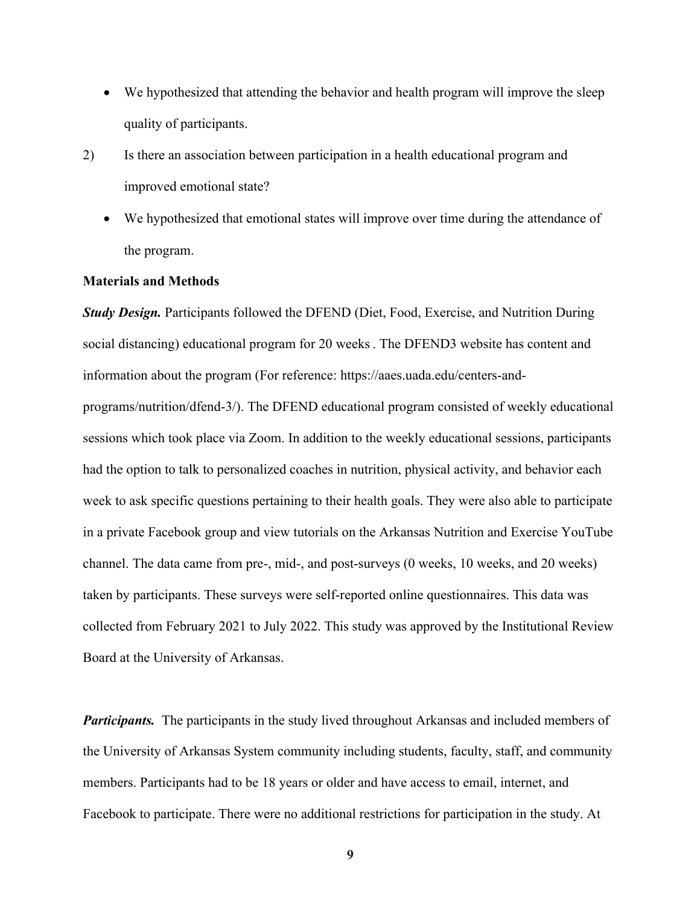- We hypothesized that attending the behavior and health program will improve the sleep quality of participants.
- 2) Is there an association between participation in a health educational program and improved emotional state?
	- We hypothesized that emotional states will improve over time during the attendance of the program.

#### **Materials and Methods**

*Study Design.* Participants followed the DFEND (Diet, Food, Exercise, and Nutrition During social distancing) educational program for 20 weeks. The DFEND3 website has content and information about the program (For reference: https://aaes.uada.edu/centers-andprograms/nutrition/dfend-3/). The DFEND educational program consisted of weekly educational sessions which took place via Zoom. In addition to the weekly educational sessions, participants had the option to talk to personalized coaches in nutrition, physical activity, and behavior each week to ask specific questions pertaining to their health goals. They were also able to participate in a private Facebook group and view tutorials on the Arkansas Nutrition and Exercise YouTube channel. The data came from pre-, mid-, and post-surveys (0 weeks, 10 weeks, and 20 weeks) taken by participants. These surveys were self-reported online questionnaires. This data was collected from February 2021 to July 2022. This study was approved by the Institutional Review Board at the University of Arkansas.

*Participants.* The participants in the study lived throughout Arkansas and included members of the University of Arkansas System community including students, faculty, staff, and community members. Participants had to be 18 years or older and have access to email, internet, and Facebook to participate. There were no additional restrictions for participation in the study. At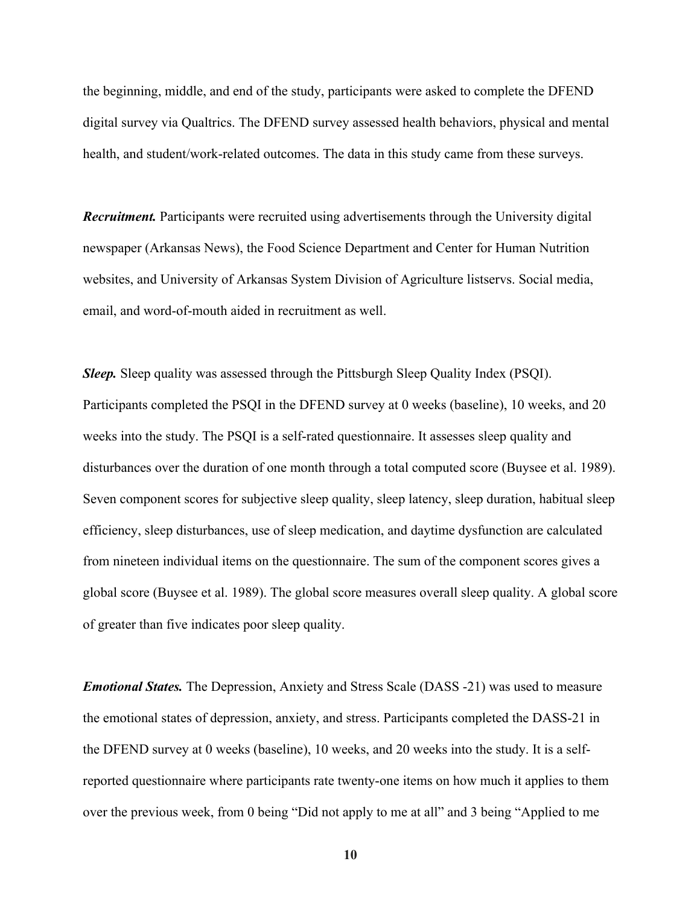the beginning, middle, and end of the study, participants were asked to complete the DFEND digital survey via Qualtrics. The DFEND survey assessed health behaviors, physical and mental health, and student/work-related outcomes. The data in this study came from these surveys.

*Recruitment.* Participants were recruited using advertisements through the University digital newspaper (Arkansas News), the Food Science Department and Center for Human Nutrition websites, and University of Arkansas System Division of Agriculture listservs. Social media, email, and word-of-mouth aided in recruitment as well.

*Sleep.* Sleep quality was assessed through the Pittsburgh Sleep Quality Index (PSQI). Participants completed the PSQI in the DFEND survey at 0 weeks (baseline), 10 weeks, and 20 weeks into the study. The PSQI is a self-rated questionnaire. It assesses sleep quality and disturbances over the duration of one month through a total computed score (Buysee et al. 1989). Seven component scores for subjective sleep quality, sleep latency, sleep duration, habitual sleep efficiency, sleep disturbances, use of sleep medication, and daytime dysfunction are calculated from nineteen individual items on the questionnaire. The sum of the component scores gives a global score (Buysee et al. 1989). The global score measures overall sleep quality. A global score of greater than five indicates poor sleep quality.

*Emotional States.* The Depression, Anxiety and Stress Scale (DASS -21) was used to measure the emotional states of depression, anxiety, and stress. Participants completed the DASS-21 in the DFEND survey at 0 weeks (baseline), 10 weeks, and 20 weeks into the study. It is a selfreported questionnaire where participants rate twenty-one items on how much it applies to them over the previous week, from 0 being "Did not apply to me at all" and 3 being "Applied to me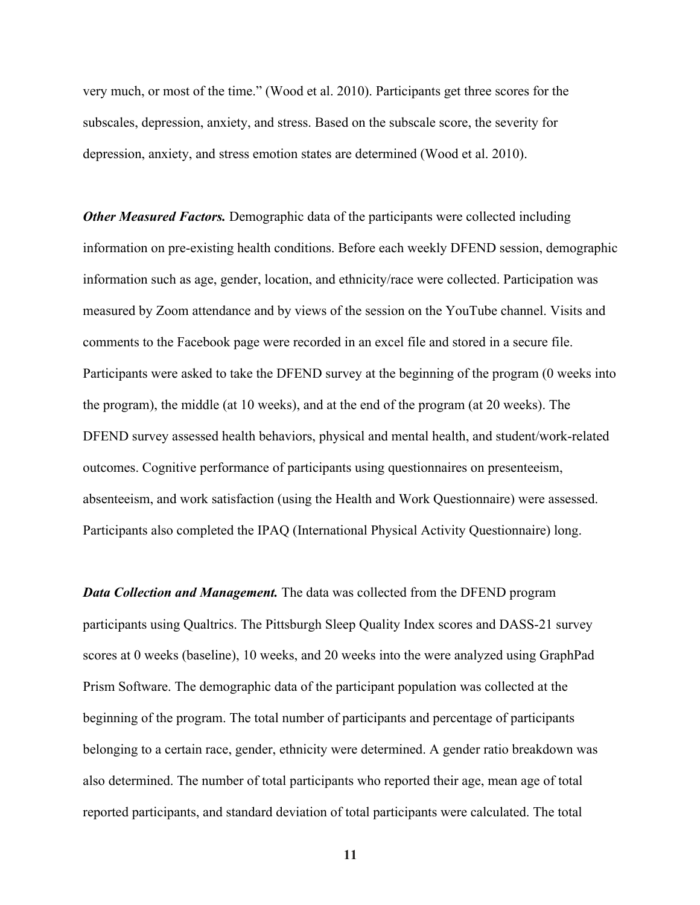very much, or most of the time." (Wood et al. 2010). Participants get three scores for the subscales, depression, anxiety, and stress. Based on the subscale score, the severity for depression, anxiety, and stress emotion states are determined (Wood et al. 2010).

*Other Measured Factors.* Demographic data of the participants were collected including information on pre-existing health conditions. Before each weekly DFEND session, demographic information such as age, gender, location, and ethnicity/race were collected. Participation was measured by Zoom attendance and by views of the session on the YouTube channel. Visits and comments to the Facebook page were recorded in an excel file and stored in a secure file. Participants were asked to take the DFEND survey at the beginning of the program (0 weeks into the program), the middle (at 10 weeks), and at the end of the program (at 20 weeks). The DFEND survey assessed health behaviors, physical and mental health, and student/work-related outcomes. Cognitive performance of participants using questionnaires on presenteeism, absenteeism, and work satisfaction (using the Health and Work Questionnaire) were assessed. Participants also completed the IPAQ (International Physical Activity Questionnaire) long.

*Data Collection and Management.* The data was collected from the DFEND program participants using Qualtrics. The Pittsburgh Sleep Quality Index scores and DASS-21 survey scores at 0 weeks (baseline), 10 weeks, and 20 weeks into the were analyzed using GraphPad Prism Software. The demographic data of the participant population was collected at the beginning of the program. The total number of participants and percentage of participants belonging to a certain race, gender, ethnicity were determined. A gender ratio breakdown was also determined. The number of total participants who reported their age, mean age of total reported participants, and standard deviation of total participants were calculated. The total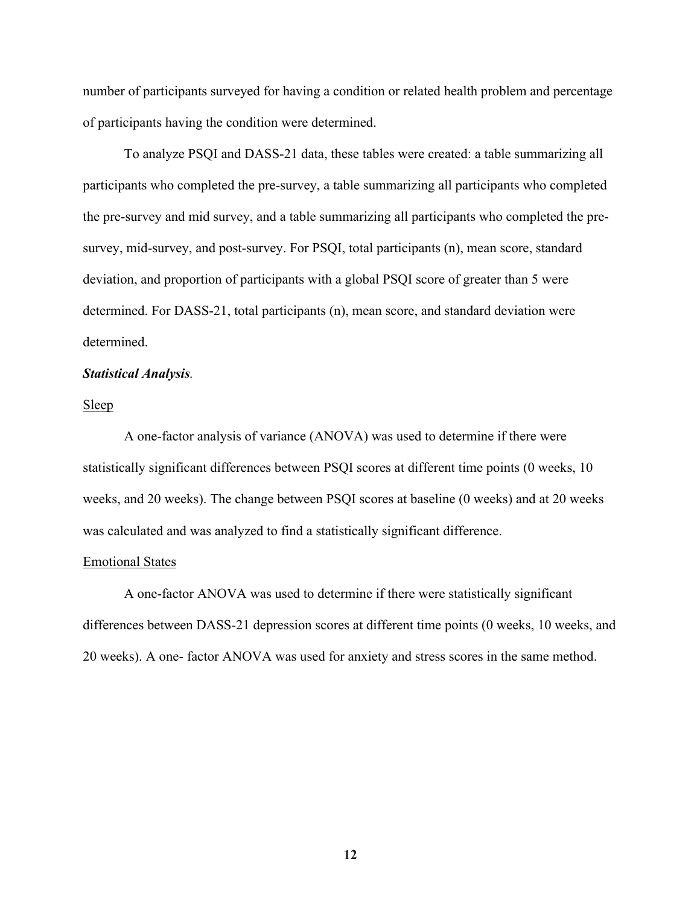number of participants surveyed for having a condition or related health problem and percentage of participants having the condition were determined.

To analyze PSQI and DASS-21 data, these tables were created: a table summarizing all participants who completed the pre-survey, a table summarizing all participants who completed the pre-survey and mid survey, and a table summarizing all participants who completed the presurvey, mid-survey, and post-survey. For PSQI, total participants (n), mean score, standard deviation, and proportion of participants with a global PSQI score of greater than 5 were determined. For DASS-21, total participants (n), mean score, and standard deviation were determined.

#### *Statistical Analysis.*

Sleep

A one-factor analysis of variance (ANOVA) was used to determine if there were statistically significant differences between PSQI scores at different time points (0 weeks, 10 weeks, and 20 weeks). The change between PSQI scores at baseline (0 weeks) and at 20 weeks was calculated and was analyzed to find a statistically significant difference.

#### Emotional States

A one-factor ANOVA was used to determine if there were statistically significant differences between DASS-21 depression scores at different time points (0 weeks, 10 weeks, and 20 weeks). A one- factor ANOVA was used for anxiety and stress scores in the same method.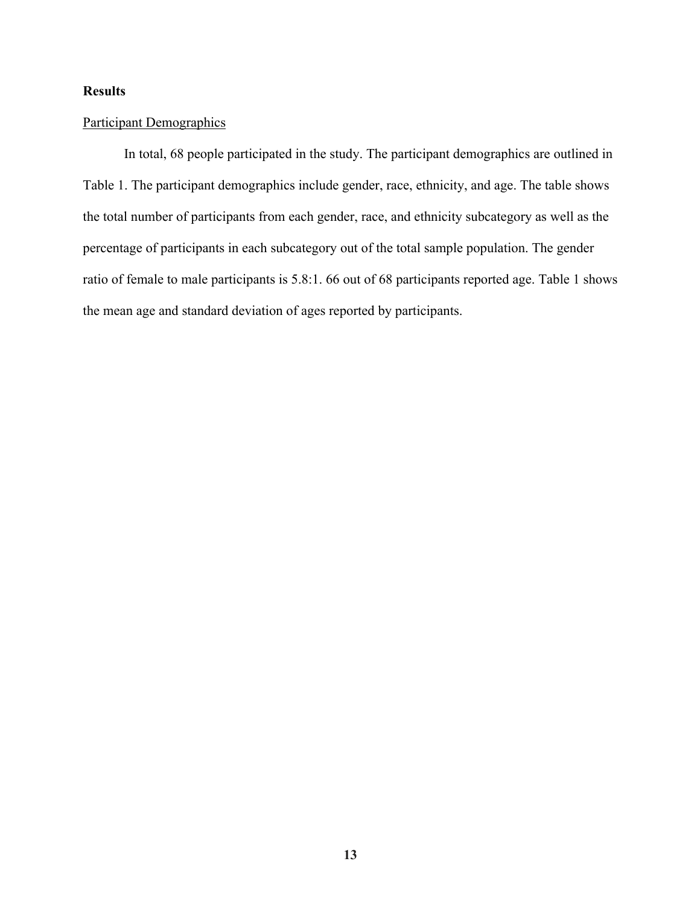#### **Results**

#### Participant Demographics

In total, 68 people participated in the study. The participant demographics are outlined in Table 1. The participant demographics include gender, race, ethnicity, and age. The table shows the total number of participants from each gender, race, and ethnicity subcategory as well as the percentage of participants in each subcategory out of the total sample population. The gender ratio of female to male participants is 5.8:1. 66 out of 68 participants reported age. Table 1 shows the mean age and standard deviation of ages reported by participants.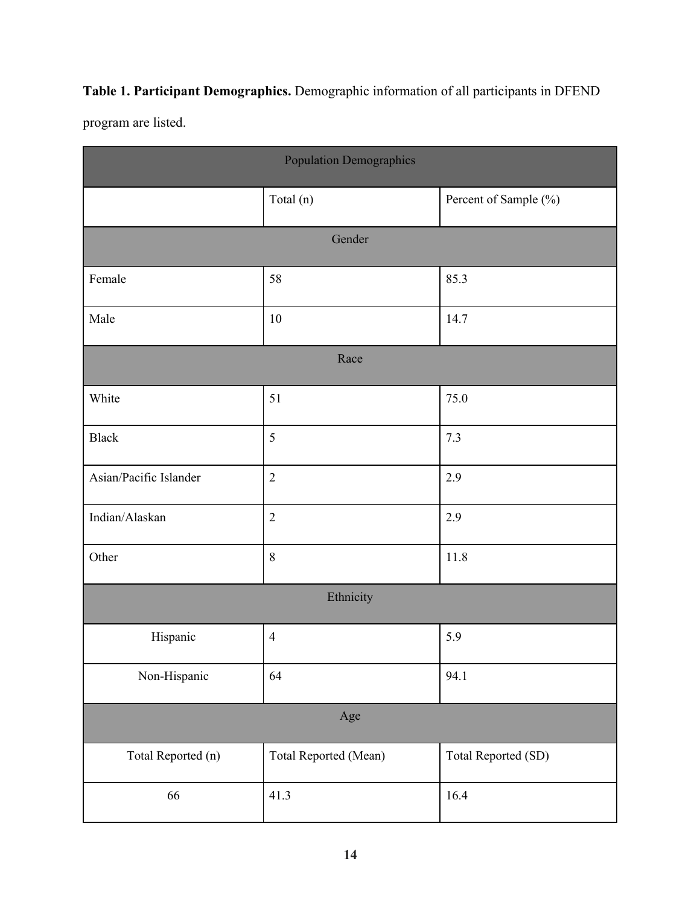## **Table 1. Participant Demographics.** Demographic information of all participants in DFEND

program are listed.

| <b>Population Demographics</b> |                       |                       |  |  |  |  |  |
|--------------------------------|-----------------------|-----------------------|--|--|--|--|--|
|                                | Total (n)             | Percent of Sample (%) |  |  |  |  |  |
| Gender                         |                       |                       |  |  |  |  |  |
| Female                         | 58                    | 85.3                  |  |  |  |  |  |
| Male                           | 10                    | 14.7                  |  |  |  |  |  |
| Race                           |                       |                       |  |  |  |  |  |
| White                          | 51                    | 75.0                  |  |  |  |  |  |
| <b>Black</b>                   | 5                     | 7.3                   |  |  |  |  |  |
| Asian/Pacific Islander         | $\overline{2}$        | 2.9                   |  |  |  |  |  |
| Indian/Alaskan                 | $\overline{2}$        | 2.9                   |  |  |  |  |  |
| Other                          | $8\phantom{1}$        | 11.8                  |  |  |  |  |  |
| Ethnicity                      |                       |                       |  |  |  |  |  |
| Hispanic                       | $\overline{4}$        | 5.9                   |  |  |  |  |  |
| Non-Hispanic                   | 64                    | 94.1                  |  |  |  |  |  |
| Age                            |                       |                       |  |  |  |  |  |
| Total Reported (n)             | Total Reported (Mean) | Total Reported (SD)   |  |  |  |  |  |
| 66                             | 41.3                  | 16.4                  |  |  |  |  |  |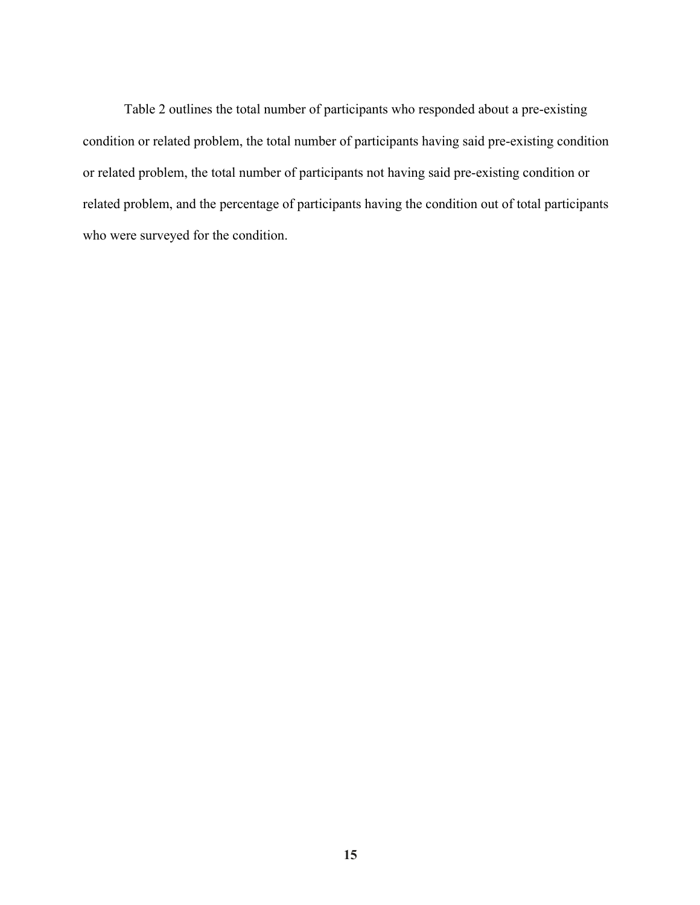Table 2 outlines the total number of participants who responded about a pre-existing condition or related problem, the total number of participants having said pre-existing condition or related problem, the total number of participants not having said pre-existing condition or related problem, and the percentage of participants having the condition out of total participants who were surveyed for the condition.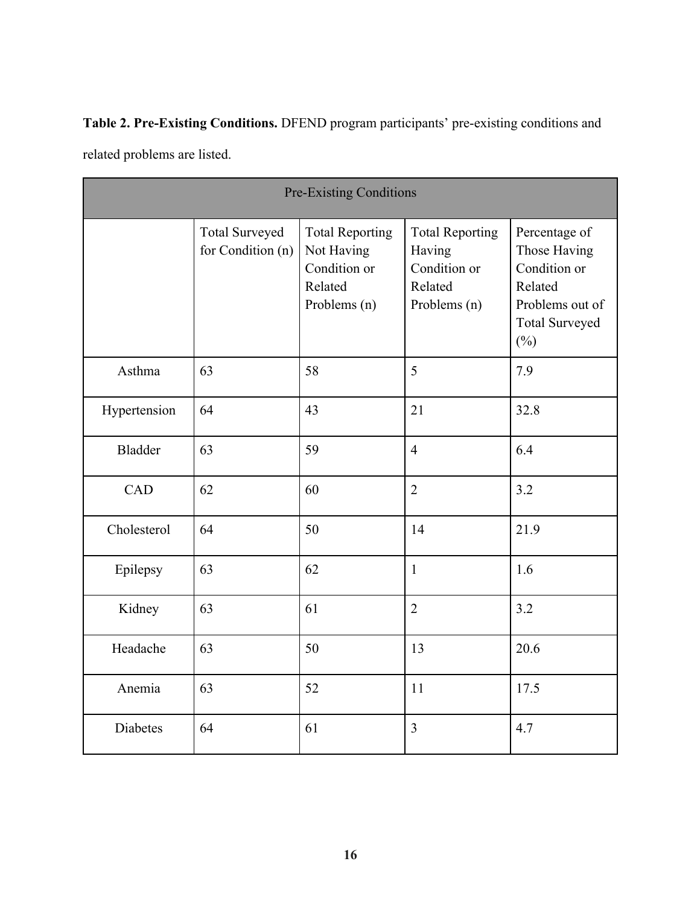**Table 2. Pre-Existing Conditions.** DFEND program participants' pre-existing conditions and related problems are listed.

| <b>Pre-Existing Conditions</b> |                                            |                                                                                 |                                                                             |                                                                                                                |  |  |
|--------------------------------|--------------------------------------------|---------------------------------------------------------------------------------|-----------------------------------------------------------------------------|----------------------------------------------------------------------------------------------------------------|--|--|
|                                | <b>Total Surveyed</b><br>for Condition (n) | <b>Total Reporting</b><br>Not Having<br>Condition or<br>Related<br>Problems (n) | <b>Total Reporting</b><br>Having<br>Condition or<br>Related<br>Problems (n) | Percentage of<br>Those Having<br>Condition or<br>Related<br>Problems out of<br><b>Total Surveyed</b><br>$(\%)$ |  |  |
| Asthma                         | 63                                         | 58                                                                              | 5                                                                           | 7.9                                                                                                            |  |  |
| Hypertension                   | 64                                         | 43                                                                              | 21                                                                          | 32.8                                                                                                           |  |  |
| <b>Bladder</b>                 | 63                                         | 59                                                                              | $\overline{4}$                                                              | 6.4                                                                                                            |  |  |
| CAD                            | 62                                         | 60                                                                              | $\overline{2}$                                                              | 3.2                                                                                                            |  |  |
| Cholesterol                    | 64                                         | 50                                                                              | 14                                                                          | 21.9                                                                                                           |  |  |
| Epilepsy                       | 63                                         | 62                                                                              | $\mathbf{1}$                                                                | 1.6                                                                                                            |  |  |
| Kidney                         | 63                                         | 61                                                                              | $\overline{2}$                                                              | 3.2                                                                                                            |  |  |
| Headache                       | 63                                         | 50                                                                              | 13                                                                          | 20.6                                                                                                           |  |  |
| Anemia                         | 63                                         | 52                                                                              | 11                                                                          | 17.5                                                                                                           |  |  |
| <b>Diabetes</b>                | 64                                         | 61                                                                              | 3                                                                           | 4.7                                                                                                            |  |  |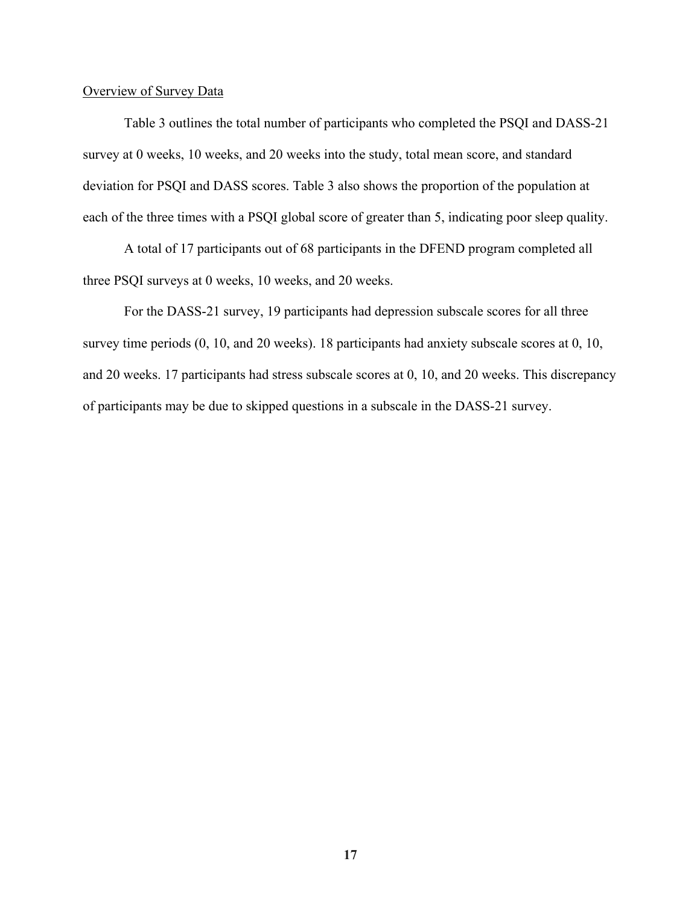#### Overview of Survey Data

 Table 3 outlines the total number of participants who completed the PSQI and DASS-21 survey at 0 weeks, 10 weeks, and 20 weeks into the study, total mean score, and standard deviation for PSQI and DASS scores. Table 3 also shows the proportion of the population at each of the three times with a PSQI global score of greater than 5, indicating poor sleep quality.

A total of 17 participants out of 68 participants in the DFEND program completed all three PSQI surveys at 0 weeks, 10 weeks, and 20 weeks.

 For the DASS-21 survey, 19 participants had depression subscale scores for all three survey time periods (0, 10, and 20 weeks). 18 participants had anxiety subscale scores at 0, 10, and 20 weeks. 17 participants had stress subscale scores at 0, 10, and 20 weeks. This discrepancy of participants may be due to skipped questions in a subscale in the DASS-21 survey.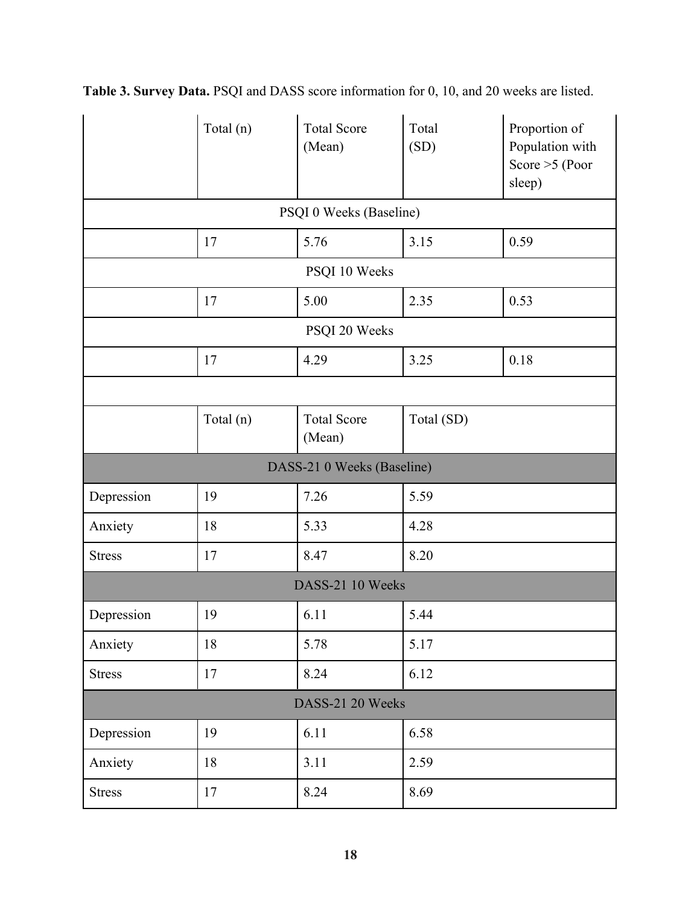|                         | Total (n)        | <b>Total Score</b><br>(Mean) | Total<br>(SD) | Proportion of<br>Population with<br>Score $>5$ (Poor<br>sleep) |  |  |  |
|-------------------------|------------------|------------------------------|---------------|----------------------------------------------------------------|--|--|--|
| PSQI 0 Weeks (Baseline) |                  |                              |               |                                                                |  |  |  |
|                         | 17               | 5.76                         | 3.15          | 0.59                                                           |  |  |  |
| PSQI 10 Weeks           |                  |                              |               |                                                                |  |  |  |
|                         | 17               | 5.00                         | 2.35          | 0.53                                                           |  |  |  |
| PSQI 20 Weeks           |                  |                              |               |                                                                |  |  |  |
|                         | 17               | 4.29                         | 3.25          | 0.18                                                           |  |  |  |
|                         |                  |                              |               |                                                                |  |  |  |
|                         | Total (n)        | <b>Total Score</b><br>(Mean) | Total (SD)    |                                                                |  |  |  |
|                         |                  | DASS-21 0 Weeks (Baseline)   |               |                                                                |  |  |  |
| Depression              | 19               | 7.26                         | 5.59          |                                                                |  |  |  |
| Anxiety                 | 18               | 5.33                         | 4.28          |                                                                |  |  |  |
| <b>Stress</b>           | 17               | 8.47                         | 8.20          |                                                                |  |  |  |
|                         | DASS-21 10 Weeks |                              |               |                                                                |  |  |  |
| Depression              | 19               | 6.11                         | 5.44          |                                                                |  |  |  |
| Anxiety                 | 18               | 5.78                         | 5.17          |                                                                |  |  |  |
| <b>Stress</b>           | 17               | 8.24                         | 6.12          |                                                                |  |  |  |
| DASS-21 20 Weeks        |                  |                              |               |                                                                |  |  |  |
| Depression              | 19               | 6.11                         | 6.58          |                                                                |  |  |  |
| Anxiety                 | $18\,$           | 3.11                         | 2.59          |                                                                |  |  |  |
| <b>Stress</b>           | 17               | 8.24                         | 8.69          |                                                                |  |  |  |

**Table 3. Survey Data.** PSQI and DASS score information for 0, 10, and 20 weeks are listed.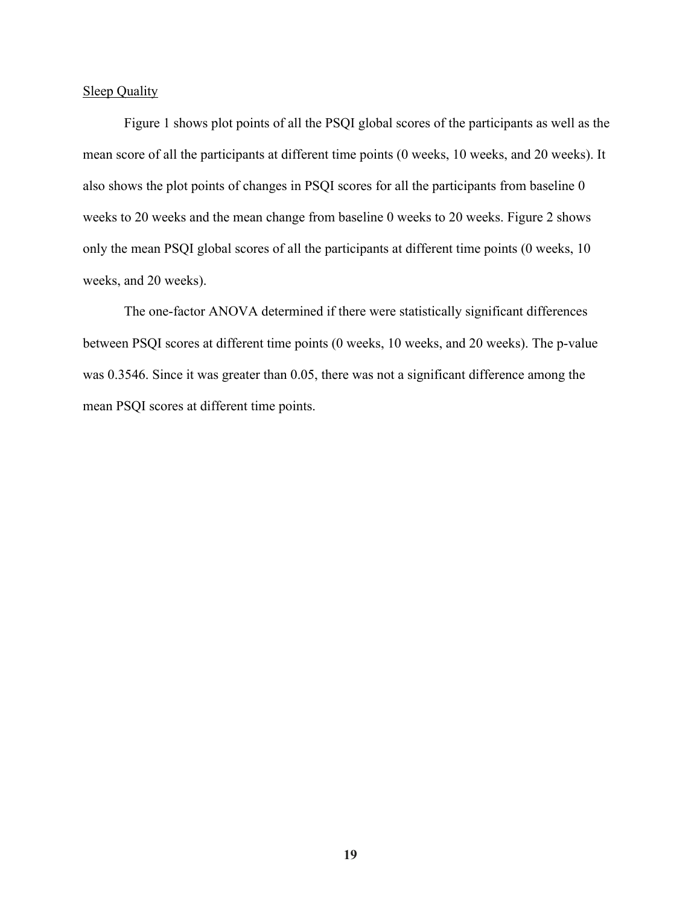#### Sleep Quality

Figure 1 shows plot points of all the PSQI global scores of the participants as well as the mean score of all the participants at different time points (0 weeks, 10 weeks, and 20 weeks). It also shows the plot points of changes in PSQI scores for all the participants from baseline 0 weeks to 20 weeks and the mean change from baseline 0 weeks to 20 weeks. Figure 2 shows only the mean PSQI global scores of all the participants at different time points (0 weeks, 10 weeks, and 20 weeks).

The one-factor ANOVA determined if there were statistically significant differences between PSQI scores at different time points (0 weeks, 10 weeks, and 20 weeks). The p-value was 0.3546. Since it was greater than 0.05, there was not a significant difference among the mean PSQI scores at different time points.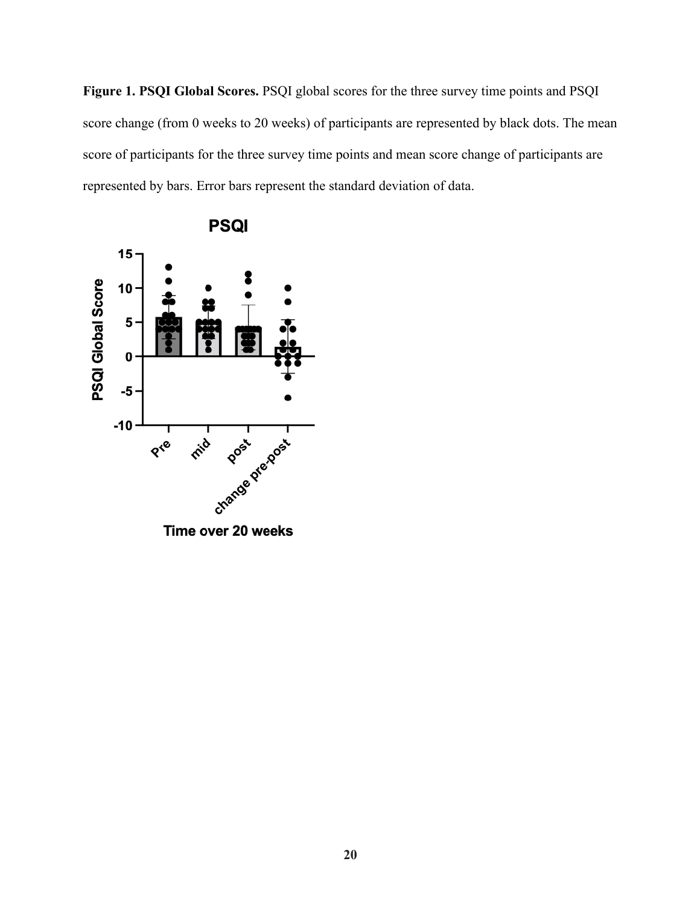**Figure 1. PSQI Global Scores.** PSQI global scores for the three survey time points and PSQI score change (from 0 weeks to 20 weeks) of participants are represented by black dots. The mean score of participants for the three survey time points and mean score change of participants are represented by bars. Error bars represent the standard deviation of data.

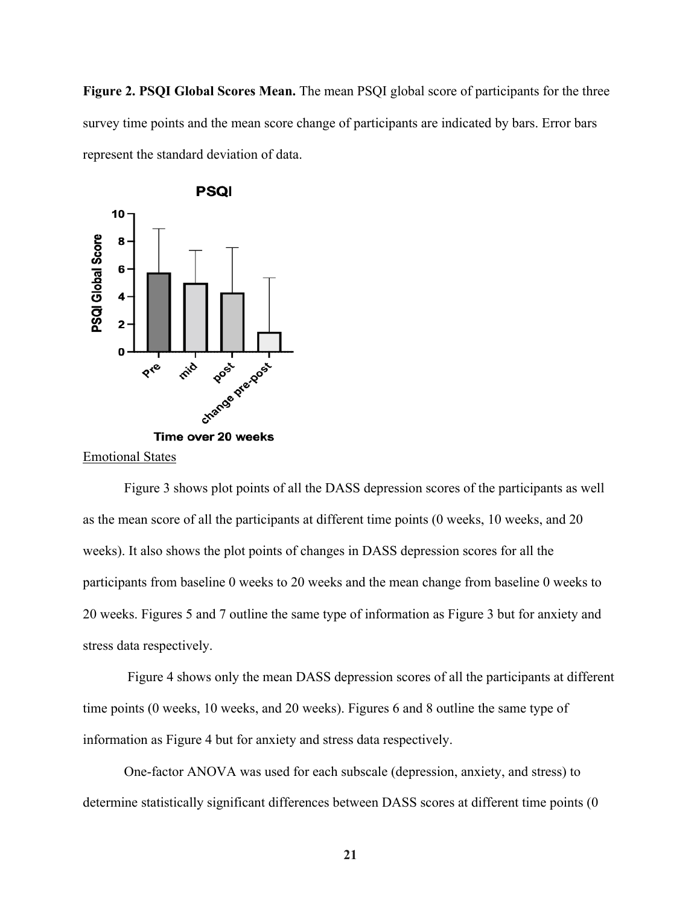**Figure 2. PSQI Global Scores Mean.** The mean PSQI global score of participants for the three survey time points and the mean score change of participants are indicated by bars. Error bars represent the standard deviation of data.



Emotional States

Figure 3 shows plot points of all the DASS depression scores of the participants as well as the mean score of all the participants at different time points (0 weeks, 10 weeks, and 20 weeks). It also shows the plot points of changes in DASS depression scores for all the participants from baseline 0 weeks to 20 weeks and the mean change from baseline 0 weeks to 20 weeks. Figures 5 and 7 outline the same type of information as Figure 3 but for anxiety and stress data respectively.

Figure 4 shows only the mean DASS depression scores of all the participants at different time points (0 weeks, 10 weeks, and 20 weeks). Figures 6 and 8 outline the same type of information as Figure 4 but for anxiety and stress data respectively.

One-factor ANOVA was used for each subscale (depression, anxiety, and stress) to determine statistically significant differences between DASS scores at different time points (0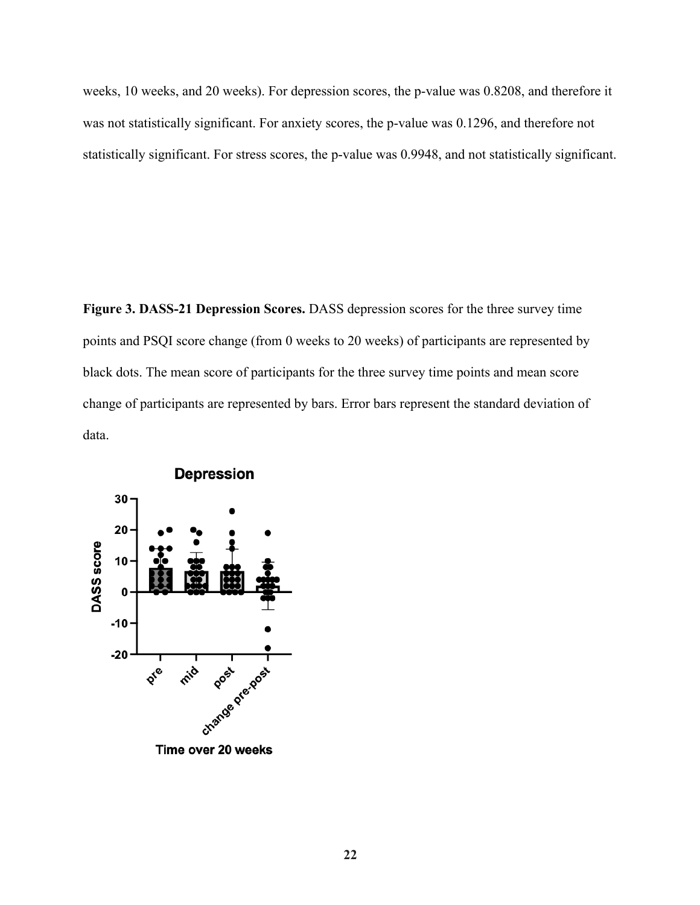weeks, 10 weeks, and 20 weeks). For depression scores, the p-value was 0.8208, and therefore it was not statistically significant. For anxiety scores, the p-value was 0.1296, and therefore not statistically significant. For stress scores, the p-value was 0.9948, and not statistically significant.

**Figure 3. DASS-21 Depression Scores.** DASS depression scores for the three survey time points and PSQI score change (from 0 weeks to 20 weeks) of participants are represented by black dots. The mean score of participants for the three survey time points and mean score change of participants are represented by bars. Error bars represent the standard deviation of data.

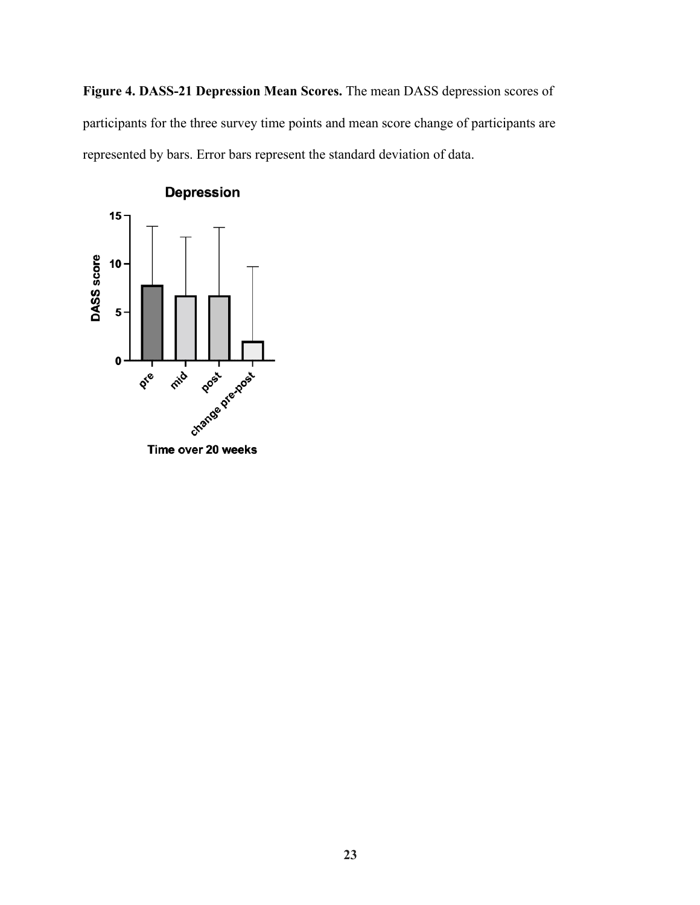**Figure 4. DASS-21 Depression Mean Scores.** The mean DASS depression scores of participants for the three survey time points and mean score change of participants are represented by bars. Error bars represent the standard deviation of data.



Time over 20 weeks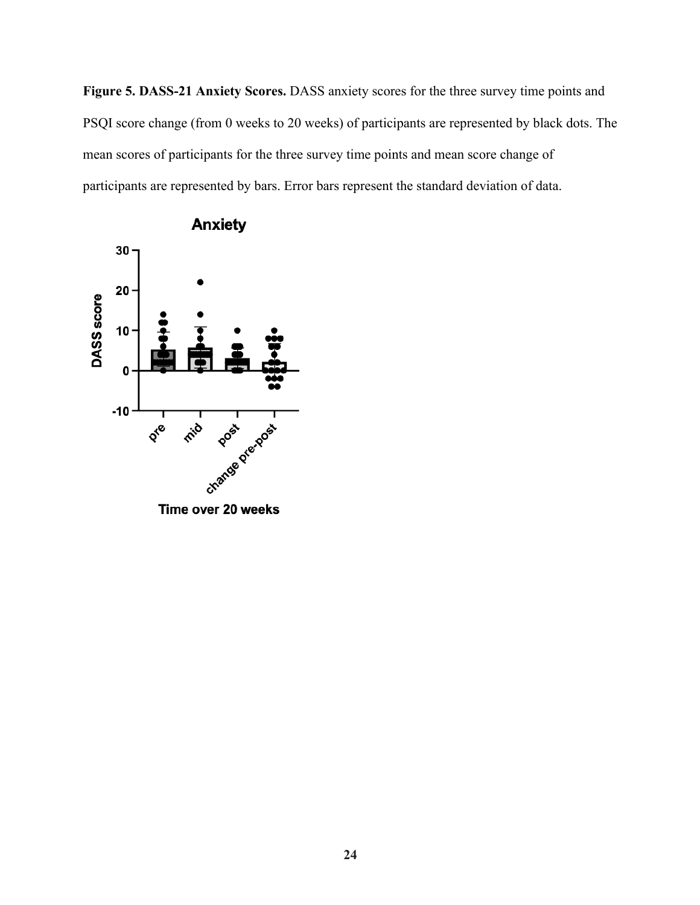**Figure 5. DASS-21 Anxiety Scores.** DASS anxiety scores for the three survey time points and PSQI score change (from 0 weeks to 20 weeks) of participants are represented by black dots. The mean scores of participants for the three survey time points and mean score change of participants are represented by bars. Error bars represent the standard deviation of data.



## **Anxiety**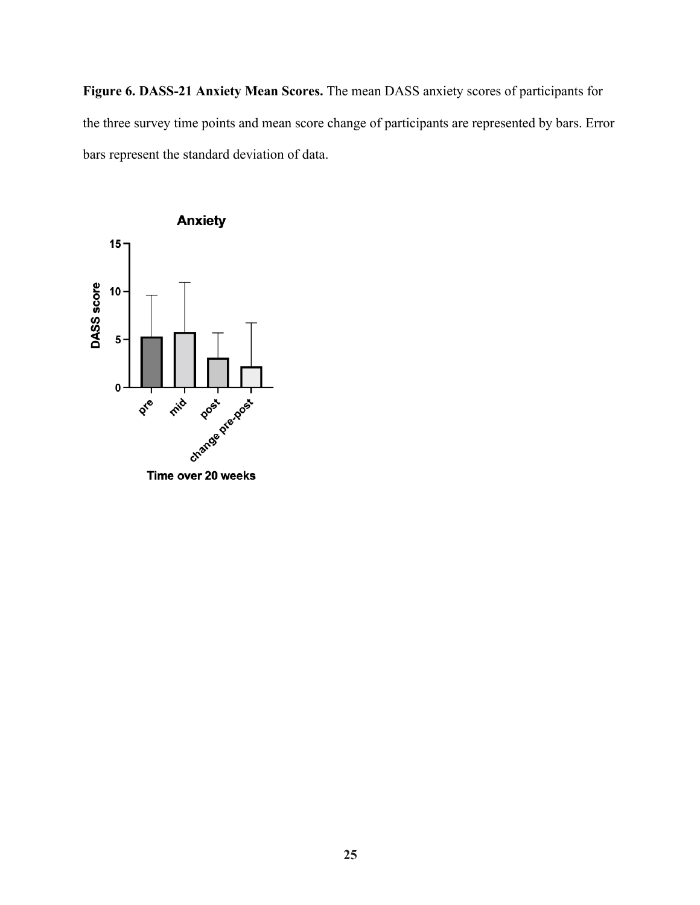**Figure 6. DASS-21 Anxiety Mean Scores.** The mean DASS anxiety scores of participants for the three survey time points and mean score change of participants are represented by bars. Error bars represent the standard deviation of data.



Time over 20 weeks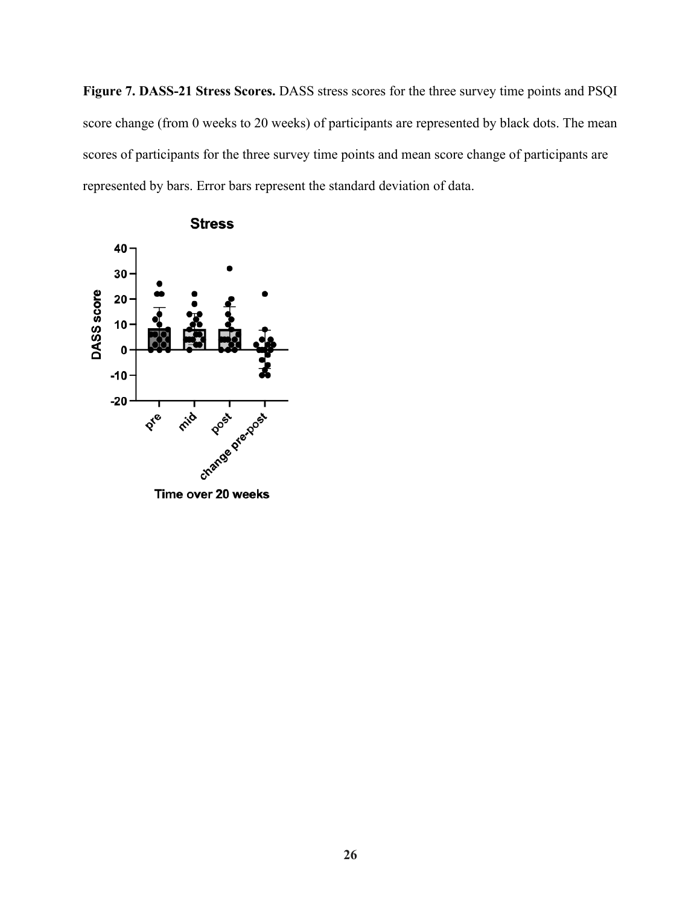**Figure 7. DASS-21 Stress Scores.** DASS stress scores for the three survey time points and PSQI score change (from 0 weeks to 20 weeks) of participants are represented by black dots. The mean scores of participants for the three survey time points and mean score change of participants are represented by bars. Error bars represent the standard deviation of data.



Time over 20 weeks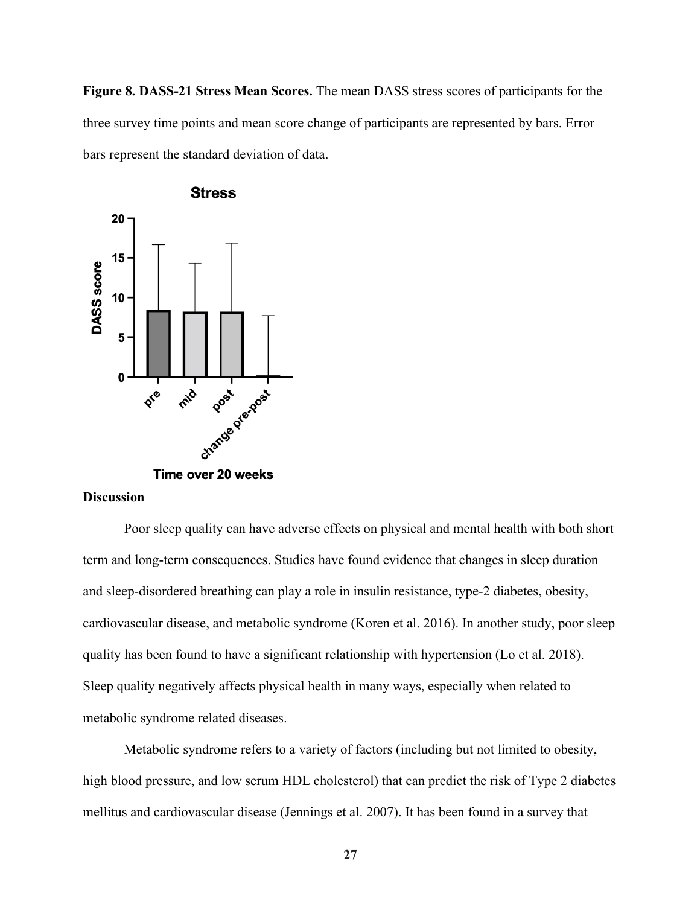**Figure 8. DASS-21 Stress Mean Scores.** The mean DASS stress scores of participants for the three survey time points and mean score change of participants are represented by bars. Error bars represent the standard deviation of data.



#### **Discussion**

Poor sleep quality can have adverse effects on physical and mental health with both short term and long-term consequences. Studies have found evidence that changes in sleep duration and sleep-disordered breathing can play a role in insulin resistance, type-2 diabetes, obesity, cardiovascular disease, and metabolic syndrome (Koren et al. 2016). In another study, poor sleep quality has been found to have a significant relationship with hypertension (Lo et al. 2018). Sleep quality negatively affects physical health in many ways, especially when related to metabolic syndrome related diseases.

Metabolic syndrome refers to a variety of factors (including but not limited to obesity, high blood pressure, and low serum HDL cholesterol) that can predict the risk of Type 2 diabetes mellitus and cardiovascular disease (Jennings et al. 2007). It has been found in a survey that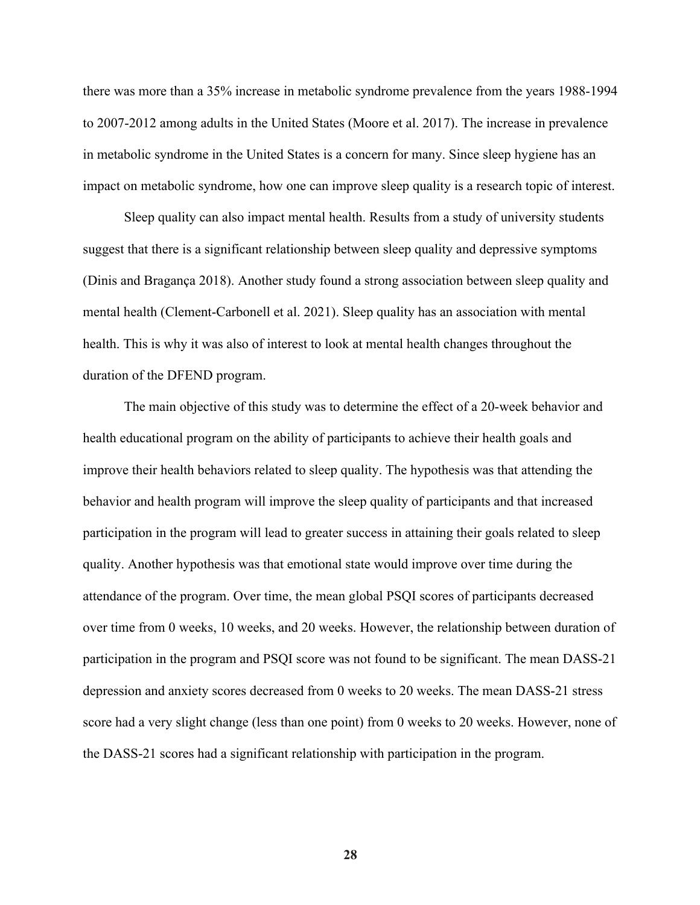there was more than a 35% increase in metabolic syndrome prevalence from the years 1988-1994 to 2007-2012 among adults in the United States (Moore et al. 2017). The increase in prevalence in metabolic syndrome in the United States is a concern for many. Since sleep hygiene has an impact on metabolic syndrome, how one can improve sleep quality is a research topic of interest.

Sleep quality can also impact mental health. Results from a study of university students suggest that there is a significant relationship between sleep quality and depressive symptoms (Dinis and Bragança 2018). Another study found a strong association between sleep quality and mental health (Clement-Carbonell et al. 2021). Sleep quality has an association with mental health. This is why it was also of interest to look at mental health changes throughout the duration of the DFEND program.

The main objective of this study was to determine the effect of a 20-week behavior and health educational program on the ability of participants to achieve their health goals and improve their health behaviors related to sleep quality. The hypothesis was that attending the behavior and health program will improve the sleep quality of participants and that increased participation in the program will lead to greater success in attaining their goals related to sleep quality. Another hypothesis was that emotional state would improve over time during the attendance of the program. Over time, the mean global PSQI scores of participants decreased over time from 0 weeks, 10 weeks, and 20 weeks. However, the relationship between duration of participation in the program and PSQI score was not found to be significant. The mean DASS-21 depression and anxiety scores decreased from 0 weeks to 20 weeks. The mean DASS-21 stress score had a very slight change (less than one point) from 0 weeks to 20 weeks. However, none of the DASS-21 scores had a significant relationship with participation in the program.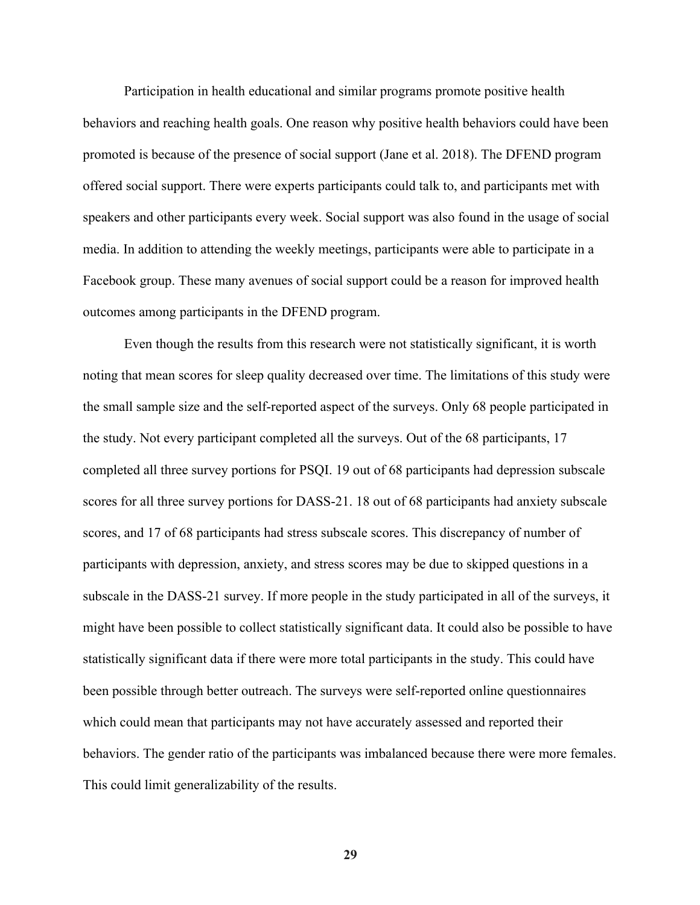Participation in health educational and similar programs promote positive health behaviors and reaching health goals. One reason why positive health behaviors could have been promoted is because of the presence of social support (Jane et al. 2018). The DFEND program offered social support. There were experts participants could talk to, and participants met with speakers and other participants every week. Social support was also found in the usage of social media. In addition to attending the weekly meetings, participants were able to participate in a Facebook group. These many avenues of social support could be a reason for improved health outcomes among participants in the DFEND program.

Even though the results from this research were not statistically significant, it is worth noting that mean scores for sleep quality decreased over time. The limitations of this study were the small sample size and the self-reported aspect of the surveys. Only 68 people participated in the study. Not every participant completed all the surveys. Out of the 68 participants, 17 completed all three survey portions for PSQI. 19 out of 68 participants had depression subscale scores for all three survey portions for DASS-21. 18 out of 68 participants had anxiety subscale scores, and 17 of 68 participants had stress subscale scores. This discrepancy of number of participants with depression, anxiety, and stress scores may be due to skipped questions in a subscale in the DASS-21 survey. If more people in the study participated in all of the surveys, it might have been possible to collect statistically significant data. It could also be possible to have statistically significant data if there were more total participants in the study. This could have been possible through better outreach. The surveys were self-reported online questionnaires which could mean that participants may not have accurately assessed and reported their behaviors. The gender ratio of the participants was imbalanced because there were more females. This could limit generalizability of the results.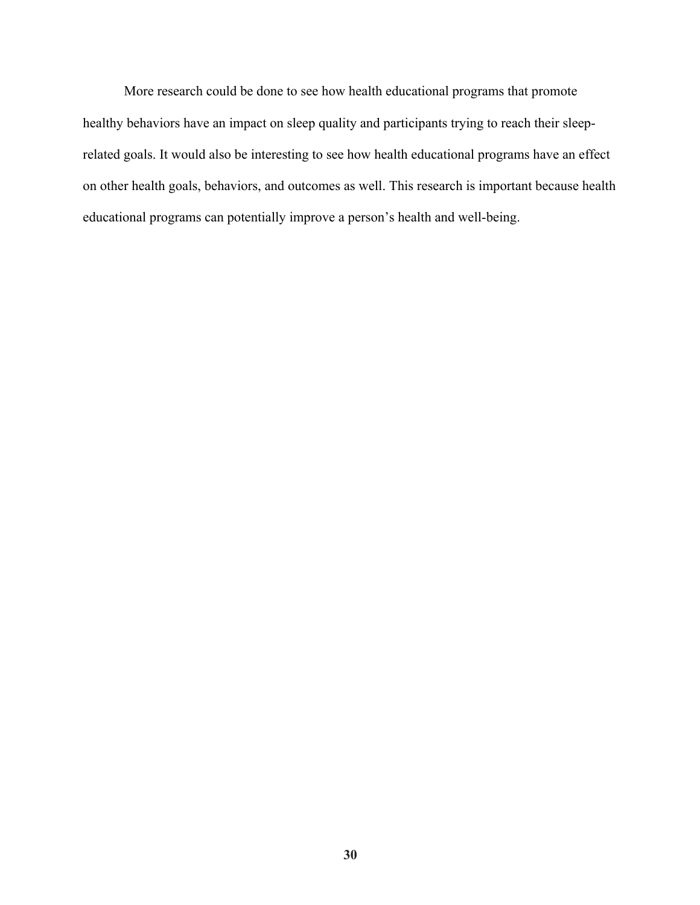More research could be done to see how health educational programs that promote healthy behaviors have an impact on sleep quality and participants trying to reach their sleeprelated goals. It would also be interesting to see how health educational programs have an effect on other health goals, behaviors, and outcomes as well. This research is important because health educational programs can potentially improve a person's health and well-being.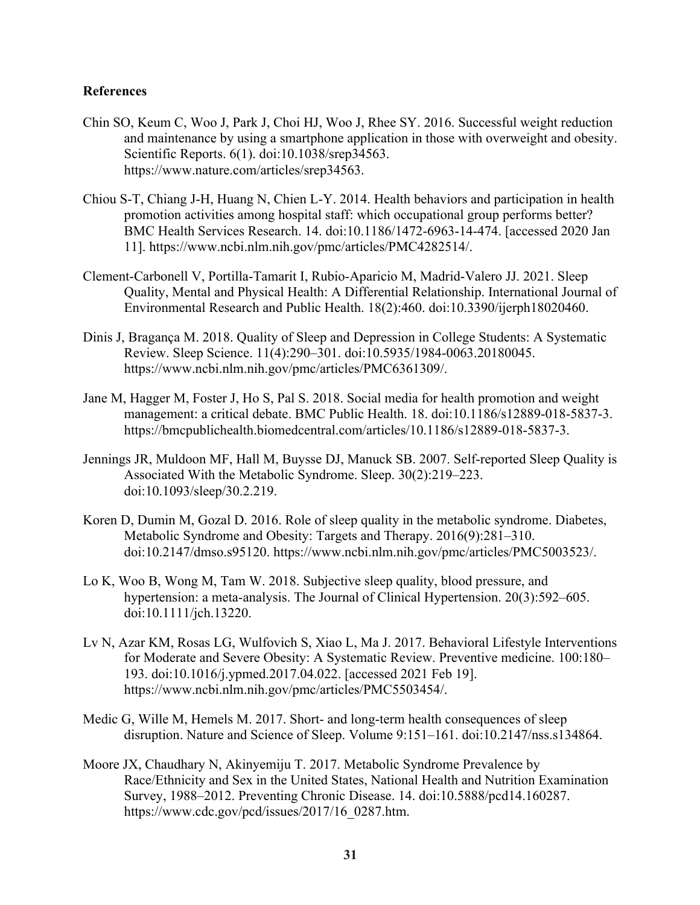#### **References**

- Chin SO, Keum C, Woo J, Park J, Choi HJ, Woo J, Rhee SY. 2016. Successful weight reduction and maintenance by using a smartphone application in those with overweight and obesity. Scientific Reports. 6(1). doi:10.1038/srep34563. https://www.nature.com/articles/srep34563.
- Chiou S-T, Chiang J-H, Huang N, Chien L-Y. 2014. Health behaviors and participation in health promotion activities among hospital staff: which occupational group performs better? BMC Health Services Research. 14. doi:10.1186/1472-6963-14-474. [accessed 2020 Jan 11]. https://www.ncbi.nlm.nih.gov/pmc/articles/PMC4282514/.
- Clement-Carbonell V, Portilla-Tamarit I, Rubio-Aparicio M, Madrid-Valero JJ. 2021. Sleep Quality, Mental and Physical Health: A Differential Relationship. International Journal of Environmental Research and Public Health. 18(2):460. doi:10.3390/ijerph18020460.
- Dinis J, Bragança M. 2018. Quality of Sleep and Depression in College Students: A Systematic Review. Sleep Science. 11(4):290–301. doi:10.5935/1984-0063.20180045. https://www.ncbi.nlm.nih.gov/pmc/articles/PMC6361309/.
- Jane M, Hagger M, Foster J, Ho S, Pal S. 2018. Social media for health promotion and weight management: a critical debate. BMC Public Health. 18. doi:10.1186/s12889-018-5837-3. https://bmcpublichealth.biomedcentral.com/articles/10.1186/s12889-018-5837-3.
- Jennings JR, Muldoon MF, Hall M, Buysse DJ, Manuck SB. 2007. Self-reported Sleep Quality is Associated With the Metabolic Syndrome. Sleep. 30(2):219–223. doi:10.1093/sleep/30.2.219.
- Koren D, Dumin M, Gozal D. 2016. Role of sleep quality in the metabolic syndrome. Diabetes, Metabolic Syndrome and Obesity: Targets and Therapy. 2016(9):281–310. doi:10.2147/dmso.s95120. https://www.ncbi.nlm.nih.gov/pmc/articles/PMC5003523/.
- Lo K, Woo B, Wong M, Tam W. 2018. Subjective sleep quality, blood pressure, and hypertension: a meta-analysis. The Journal of Clinical Hypertension. 20(3):592–605. doi:10.1111/jch.13220.
- Lv N, Azar KM, Rosas LG, Wulfovich S, Xiao L, Ma J. 2017. Behavioral Lifestyle Interventions for Moderate and Severe Obesity: A Systematic Review. Preventive medicine. 100:180– 193. doi:10.1016/j.ypmed.2017.04.022. [accessed 2021 Feb 19]. https://www.ncbi.nlm.nih.gov/pmc/articles/PMC5503454/.
- Medic G, Wille M, Hemels M. 2017. Short- and long-term health consequences of sleep disruption. Nature and Science of Sleep. Volume 9:151–161. doi:10.2147/nss.s134864.
- Moore JX, Chaudhary N, Akinyemiju T. 2017. Metabolic Syndrome Prevalence by Race/Ethnicity and Sex in the United States, National Health and Nutrition Examination Survey, 1988–2012. Preventing Chronic Disease. 14. doi:10.5888/pcd14.160287. https://www.cdc.gov/pcd/issues/2017/16\_0287.htm.